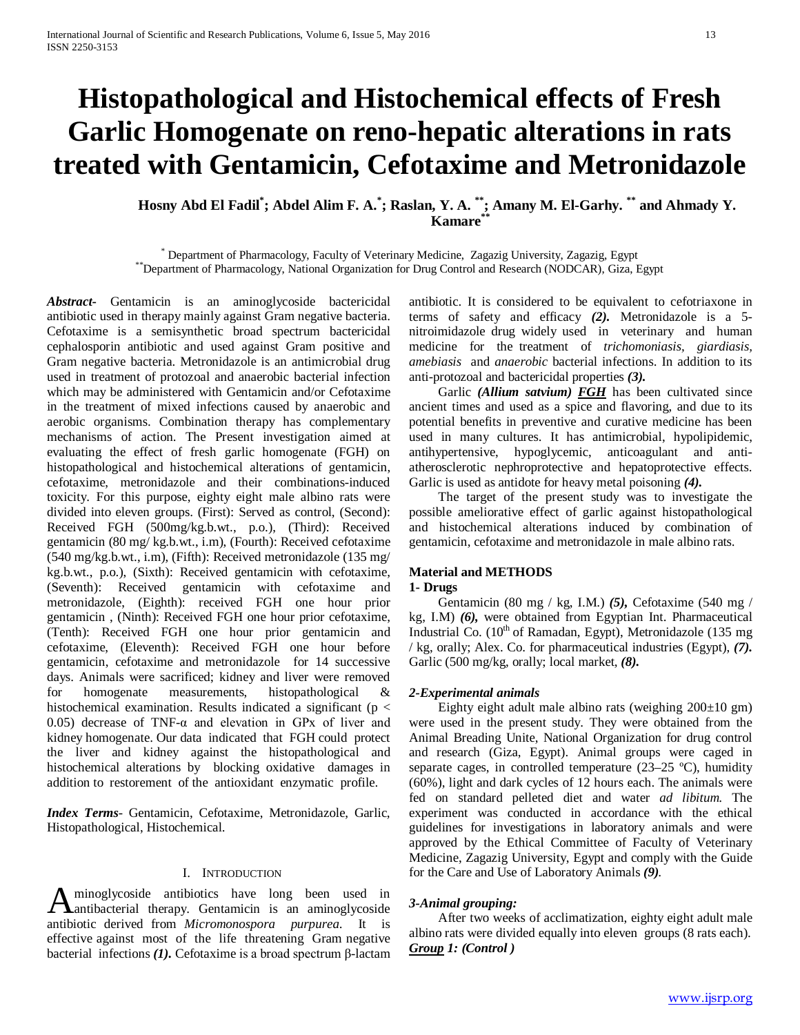# **Histopathological and Histochemical effects of Fresh Garlic Homogenate on reno-hepatic alterations in rats treated with Gentamicin, Cefotaxime and Metronidazole**

# **Hosny Abd El Fadil\* ; Abdel Alim F. A.\* ; Raslan, Y. A. \*\*; Amany M. El-Garhy. \*\* and Ahmady Y. Kamare**\*

\* Department of Pharmacology, Faculty of Veterinary Medicine, Zagazig University, Zagazig, Egypt \*\*Department of Pharmacology, National Organization for Drug Control and Research (NODCAR), Giza, Egypt

*Abstract***-** Gentamicin is an aminoglycoside bactericidal antibiotic used in therapy mainly against Gram negative bacteria. Cefotaxime is a semisynthetic broad spectrum bactericidal cephalosporin antibiotic and used against Gram positive and Gram negative bacteria. Metronidazole is an antimicrobial drug used in treatment of protozoal and anaerobic bacterial infection which may be administered with Gentamicin and/or Cefotaxime in the treatment of mixed infections caused by anaerobic and aerobic organisms. Combination therapy has complementary mechanisms of action. The Present investigation aimed at evaluating the effect of fresh garlic homogenate (FGH) on histopathological and histochemical alterations of gentamicin, cefotaxime, metronidazole and their combinations-induced toxicity. For this purpose, eighty eight male albino rats were divided into eleven groups. (First): Served as control, (Second): Received FGH (500mg/kg.b.wt., p.o.), (Third): Received gentamicin (80 mg/ kg.b.wt., i.m), (Fourth): Received cefotaxime (540 mg/kg.b.wt., i.m), (Fifth): Received metronidazole (135 mg/ kg.b.wt., p.o.), (Sixth): Received gentamicin with cefotaxime, (Seventh): Received gentamicin with cefotaxime and metronidazole, (Eighth): received FGH one hour prior gentamicin , (Ninth): Received FGH one hour prior cefotaxime, (Tenth): Received FGH one hour prior gentamicin and cefotaxime, (Eleventh): Received FGH one hour before gentamicin, cefotaxime and metronidazole for 14 successive days. Animals were sacrificed; kidney and liver were removed for homogenate measurements, histopathological & histochemical examination. Results indicated a significant ( $p <$ 0.05) decrease of TNF- $\alpha$  and elevation in GPx of liver and kidney homogenate. Our data indicated that FGH could protect the liver and kidney against the histopathological and histochemical alterations by blocking oxidative damages in addition to restorement of the antioxidant enzymatic profile.

*Index Terms*- Gentamicin, Cefotaxime, Metronidazole, Garlic, Histopathological, Histochemical.

#### I. INTRODUCTION

minoglycoside antibiotics have long been used in Aminoglycoside antibiotics have long been used in antibacterial therapy. Gentamicin is an aminoglycoside antibiotic derived from *Micromonospora purpurea*. It is effective against most of the life threatening Gram negative bacterial infections *(1).* Cefotaxime is a broad spectrum β-lactam

antibiotic. It is considered to be equivalent to cefotriaxone in terms of safety and efficacy *(2).* Metronidazole is a 5 nitroimidazole drug widely used in veterinary and human medicine for the treatment of *trichomoniasis, giardiasis, amebiasis* and *anaerobic* bacterial infections. In addition to its anti-protozoal and bactericidal properties *(3).*

Garlic (Allium satvium) **FGH** has been cultivated since ancient times and used as a spice and flavoring, and due to its potential benefits in preventive and curative medicine has been used in many cultures. It has antimicrobial, hypolipidemic, antihypertensive, hypoglycemic, anticoagulant and antiatherosclerotic nephroprotective and hepatoprotective effects. Garlic is used as antidote for heavy metal poisoning *(4).*

 The target of the present study was to investigate the possible ameliorative effect of garlic against histopathological and histochemical alterations induced by combination of gentamicin, cefotaxime and metronidazole in male albino rats.

## **Material and METHODS**

## **1- Drugs**

 Gentamicin (80 mg / kg, I.M.) *(5),* Cefotaxime (540 mg / kg, I.M) *(6),* were obtained from Egyptian Int. Pharmaceutical Industrial Co. (10<sup>th</sup> of Ramadan, Egypt), Metronidazole (135 mg / kg, orally; Alex. Co. for pharmaceutical industries (Egypt), *(7).* Garlic (500 mg/kg, orally; local market, *(8).*

#### *2-Experimental animals*

Eighty eight adult male albino rats (weighing  $200\pm 10$  gm) were used in the present study. They were obtained from the Animal Breading Unite, National Organization for drug control and research (Giza, Egypt). Animal groups were caged in separate cages, in controlled temperature (23–25 ºC), humidity (60%), light and dark cycles of 12 hours each. The animals were fed on standard pelleted diet and water *ad libitum.* The experiment was conducted in accordance with the ethical guidelines for investigations in laboratory animals and were approved by the Ethical Committee of Faculty of Veterinary Medicine, Zagazig University, Egypt and comply with the Guide for the Care and Use of Laboratory Animals *(9).*

#### *3-Animal grouping:*

 After two weeks of acclimatization, eighty eight adult male albino rats were divided equally into eleven groups (8 rats each). *Group 1: (Control )*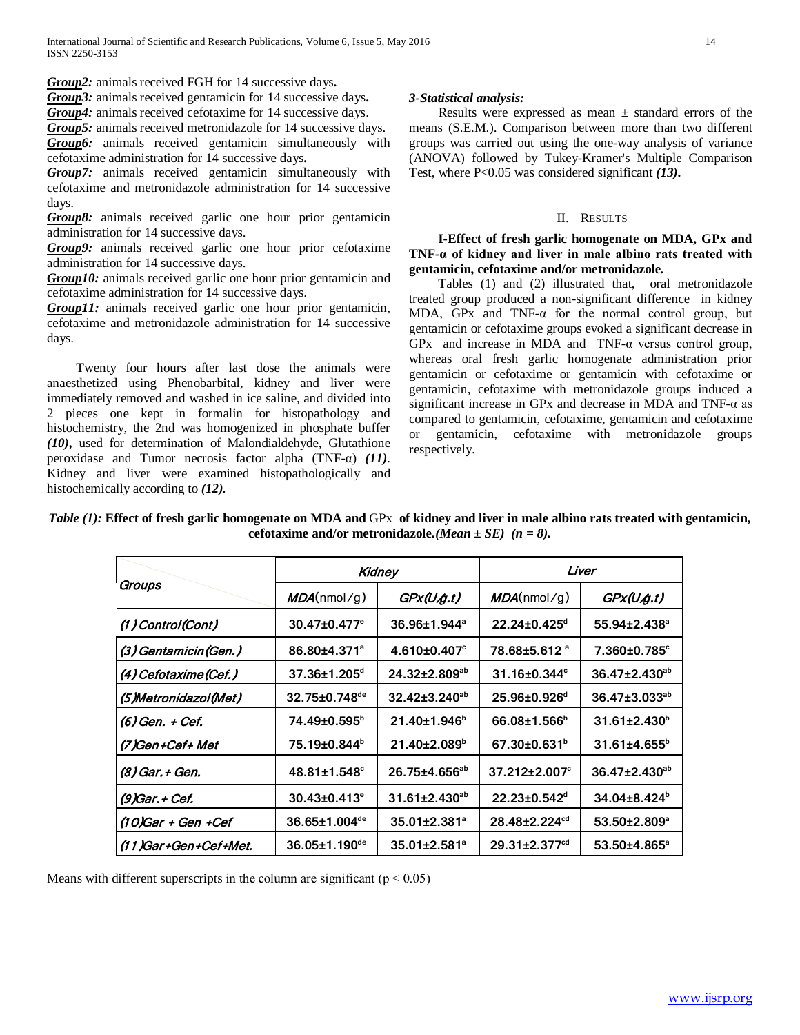*Group2:* animals received FGH for 14 successive days**.**

*Group3:* animals received gentamicin for 14 successive days**.**

*Group4:* animals received cefotaxime for 14 successive days.

*Group5:* animals received metronidazole for 14 successive days. *Group6:* animals received gentamicin simultaneously with cefotaxime administration for 14 successive days**.**

*Group7:* animals received gentamicin simultaneously with cefotaxime and metronidazole administration for 14 successive days.

*Group8:* animals received garlic one hour prior gentamicin administration for 14 successive days.

*Group9:* animals received garlic one hour prior cefotaxime administration for 14 successive days.

*Group10:* animals received garlic one hour prior gentamicin and cefotaxime administration for 14 successive days.

*Group11:* animals received garlic one hour prior gentamicin, cefotaxime and metronidazole administration for 14 successive days.

 Twenty four hours after last dose the animals were anaesthetized using Phenobarbital, kidney and liver were immediately removed and washed in ice saline, and divided into 2 pieces one kept in formalin for histopathology and histochemistry, the 2nd was homogenized in phosphate buffer *(10)***,** used for determination of Malondialdehyde, Glutathione peroxidase and Tumor necrosis factor alpha (TNF-α) *(11)*. Kidney and liver were examined histopathologically and histochemically according to *(12).*

## *3-Statistical analysis:*

Results were expressed as mean  $\pm$  standard errors of the means (S.E.M.). Comparison between more than two different groups was carried out using the one-way analysis of variance (ANOVA) followed by Tukey-Kramer's Multiple Comparison Test, where P<0.05 was considered significant *(13)***.**

#### II. RESULTS

 **I-Effect of fresh garlic homogenate on MDA, GPx and TNF-α of kidney and liver in male albino rats treated with gentamicin, cefotaxime and/or metronidazole***.* 

 Tables (1) and (2) illustrated that, oral metronidazole treated group produced a non-significant difference in kidney MDA, GPx and TNF-α for the normal control group, but gentamicin or cefotaxime groups evoked a significant decrease in GPx and increase in MDA and TNF-α versus control group, whereas oral fresh garlic homogenate administration prior gentamicin or cefotaxime or gentamicin with cefotaxime or gentamicin, cefotaxime with metronidazole groups induced a significant increase in GPx and decrease in MDA and TNF-α as compared to gentamicin, cefotaxime, gentamicin and cefotaxime or gentamicin, cefotaxime with metronidazole groups respectively.

*Table (1):* Effect of fresh garlic homogenate on MDA and GPx of kidney and liver in male albino rats treated with gentamicin, **cefotaxime and/or metronidazole***.(Mean ± SE) (n = 8).*

|                       | Kidney                          |                           | Liver                           |                                |
|-----------------------|---------------------------------|---------------------------|---------------------------------|--------------------------------|
| Groups                | MDA(numol/g)                    | GPx(U.g.t)                | MDA(numol/g)                    | GPX(U, g.t)                    |
| $(1)$ Control(Cont)   | $30.47 \pm 0.477$ <sup>e</sup>  | $36.96 \pm 1.944^{\circ}$ | $22.24 \pm 0.425$ <sup>d</sup>  | $55.94 \pm 2.438$ <sup>a</sup> |
| (3) Gentamicin (Gen.) | 86.80±4.371 <sup>ª</sup>        | $4.610\pm0.407^{\circ}$   | 78.68±5.612 <sup>a</sup>        | $7.360 \pm 0.785$ <sup>c</sup> |
| (4) Cefotaxime (Cef.) | $37.36 \pm 1.205$ <sup>d</sup>  | $24.32 \pm 2.809^{ab}$    | $31.16 \pm 0.344$ <sup>c</sup>  | $36.47 \pm 2.430^{ab}$         |
| (5)Metronidazol(Met)  | $32.75 \pm 0.748$ <sup>de</sup> | $32.42 \pm 3.240^{ab}$    | $25.96 \pm 0.926$ <sup>d</sup>  | 36.47±3.033 <sup>ab</sup>      |
| (6) Gen. + Cef.       | 74.49±0.595 <sup>b</sup>        | $21.40 \pm 1.946^b$       | $66.08 \pm 1.566^{\circ}$       | 31.61±2.430 <sup>b</sup>       |
| (7)Gen+Cef+ Met       | 75.19±0.844 <sup>b</sup>        | $21.40 \pm 2.089^{\circ}$ | $67.30 \pm 0.631^{\circ}$       | $31.61{\pm}4.655^{\circ}$      |
| (8) Gar. + Gen.       | $48.81 \pm 1.548$ <sup>c</sup>  | 26.75±4.656 <sup>ab</sup> | $37.212 \pm 2.007$ °            | $36.47 \pm 2.430^{ab}$         |
| (9)Gar. + Cef.        | $30.43 \pm 0.413$ <sup>e</sup>  | $31.61 \pm 2.430^{ab}$    | $22.23 \pm 0.542$ <sup>d</sup>  | $34.04\pm8.424^b$              |
| (10)Gar + Gen +Cef    | $36.65 \pm 1.004$ <sup>de</sup> | 35.01±2.381 <sup>ª</sup>  | 28.48±2.224 <sup>cd</sup>       | 53.50±2.809 <sup>a</sup>       |
| (11)Gar+Gen+Cef+Met.  | 36.05±1.190 <sup>de</sup>       | 35.01±2.581 <sup>ª</sup>  | $29.31 \pm 2.377$ <sup>cd</sup> | 53.50±4.865 <sup>a</sup>       |

Means with different superscripts in the column are significant ( $p < 0.05$ )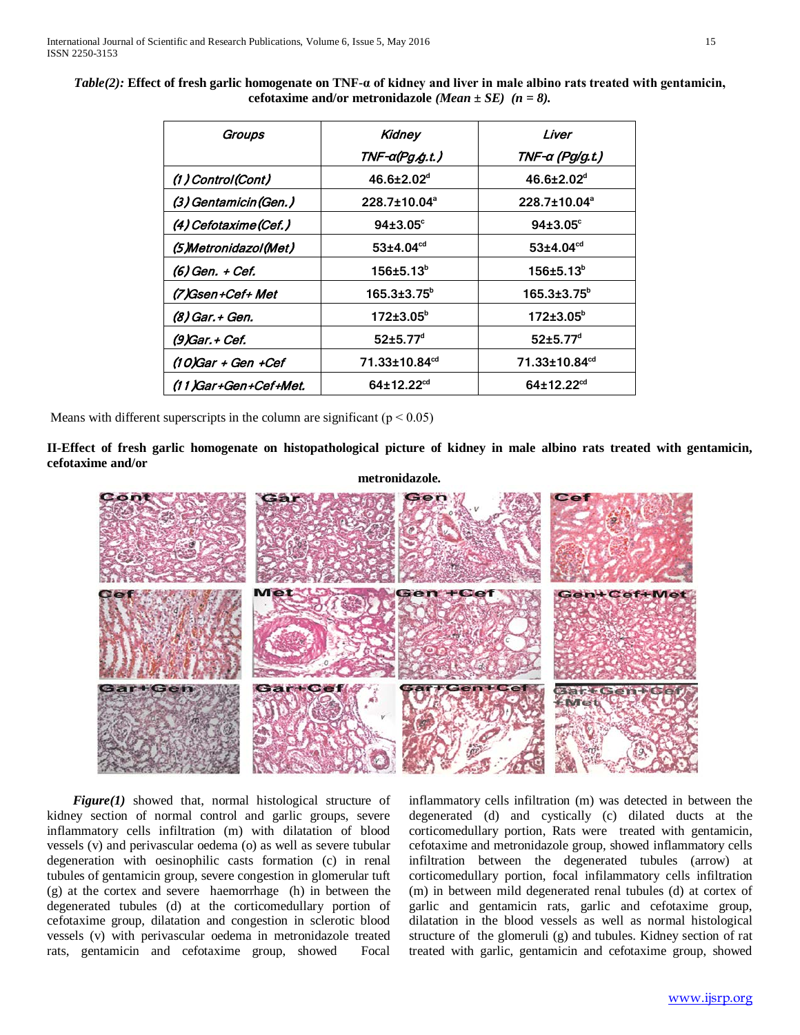*Table(2):* **Effect of fresh garlic homogenate on TNF-α of kidney and liver in male albino rats treated with gentamicin, cefotaxime and/or metronidazole** *(Mean ± SE) (n = 8).*

| Groups                | <b>Kidney</b><br>TNF-α(Pg. <i>/</i> g. <i>t.</i> ) | Liver<br>TNF-a (Pg/g.t.)     |  |
|-----------------------|----------------------------------------------------|------------------------------|--|
| (1) Control(Cont)     | $46.6 \pm 2.02$ <sup>d</sup>                       | $46.6 \pm 2.02$ <sup>d</sup> |  |
| (3) Gentamicin (Gen.) | 228.7±10.04 <sup>a</sup>                           | 228.7±10.04 <sup>a</sup>     |  |
| (4) Cefotaxime (Cef.) | $94{\pm}3.05^{\circ}$                              | $94{\pm}3.05^{\circ}$        |  |
| (5)Metronidazol(Met)  | $53{\pm}4.04^{\rm cd}$                             | $53{\pm}4.04^{\text{cd}}$    |  |
| (6) Gen. + Cef.       | $156 \pm 5.13^b$                                   | $156 \pm 5.13^b$             |  |
| (7)Gsen+Cef+ Met      | $165.3{\pm}3.75^{\circ}$                           | $165.3{\pm}3.75^b$           |  |
| (8) Gar. + Gen.       | $172 \pm 3.05^{\circ}$                             | $172 \pm 3.05^{\circ}$       |  |
| (9) Gar. + Cef.       | $52 \pm 5.77$ <sup>d</sup>                         | $52 \pm 5.77$ <sup>d</sup>   |  |
| (10)Gar + Gen +Cef    | 71.33±10.84 <sup>cd</sup>                          | 71.33±10.84 <sup>cd</sup>    |  |
| (11)Gar+Gen+Cef+Met.  | $64 \pm 12.22$ <sup>cd</sup>                       | $64 \pm 12.22^{cd}$          |  |

Means with different superscripts in the column are significant ( $p < 0.05$ )

**II-Effect of fresh garlic homogenate on histopathological picture of kidney in male albino rats treated with gentamicin, cefotaxime and/or** 



 *Figure(1)* showed that, normal histological structure of kidney section of normal control and garlic groups, severe inflammatory cells infiltration (m) with dilatation of blood vessels (v) and perivascular oedema (o) as well as severe tubular degeneration with oesinophilic casts formation (c) in renal tubules of gentamicin group, severe congestion in glomerular tuft (g) at the cortex and severe haemorrhage (h) in between the degenerated tubules (d) at the corticomedullary portion of cefotaxime group, dilatation and congestion in sclerotic blood vessels (v) with perivascular oedema in metronidazole treated rats, gentamicin and cefotaxime group, showed Focal

inflammatory cells infiltration (m) was detected in between the degenerated (d) and cystically (c) dilated ducts at the corticomedullary portion, Rats were treated with gentamicin, cefotaxime and metronidazole group, showed inflammatory cells infiltration between the degenerated tubules (arrow) at corticomedullary portion, focal infilammatory cells infiltration (m) in between mild degenerated renal tubules (d) at cortex of garlic and gentamicin rats, garlic and cefotaxime group, dilatation in the blood vessels as well as normal histological structure of the glomeruli (g) and tubules. Kidney section of rat treated with garlic, gentamicin and cefotaxime group, showed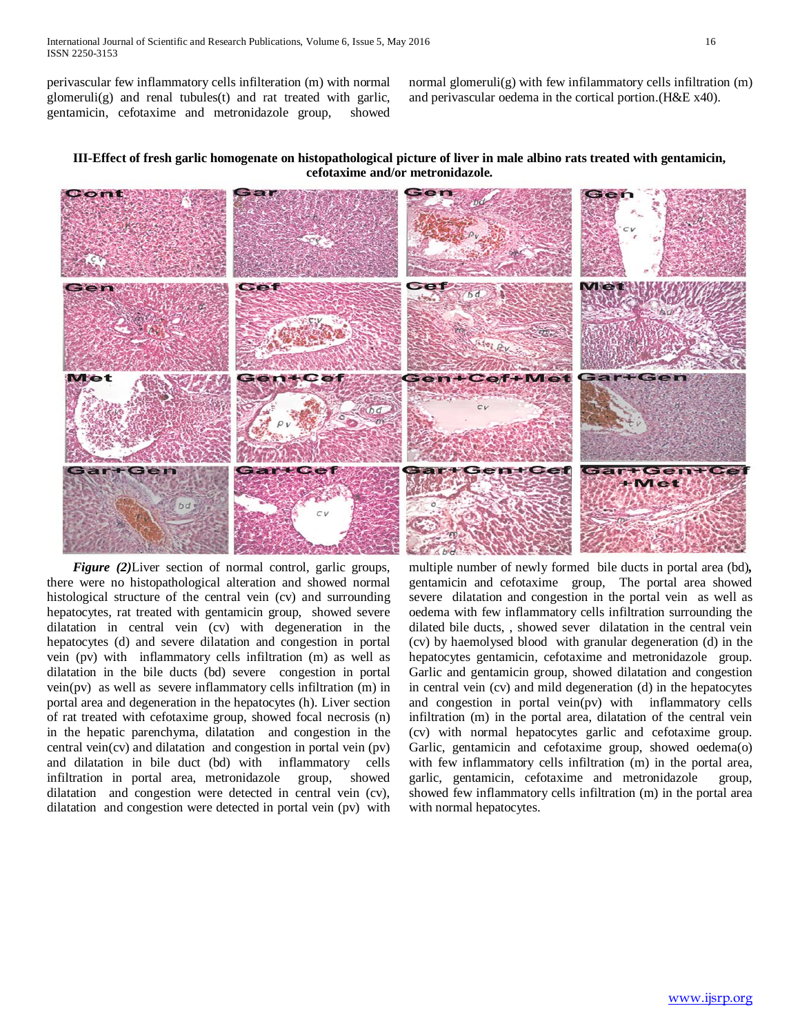perivascular few inflammatory cells infilteration (m) with normal glomeruli(g) and renal tubules(t) and rat treated with garlic, gentamicin, cefotaxime and metronidazole group, showed

normal glomeruli(g) with few infilammatory cells infiltration (m) and perivascular oedema in the cortical portion.(H&E x40).

## **III-Effect of fresh garlic homogenate on histopathological picture of liver in male albino rats treated with gentamicin, cefotaxime and/or metronidazole***.*



 *Figure (2)*Liver section of normal control, garlic groups, there were no histopathological alteration and showed normal histological structure of the central vein (cv) and surrounding hepatocytes, rat treated with gentamicin group, showed severe dilatation in central vein (cv) with degeneration in the hepatocytes (d) and severe dilatation and congestion in portal vein (pv) with inflammatory cells infiltration (m) as well as dilatation in the bile ducts (bd) severe congestion in portal vein(pv) as well as severe inflammatory cells infiltration (m) in portal area and degeneration in the hepatocytes (h). Liver section of rat treated with cefotaxime group, showed focal necrosis (n) in the hepatic parenchyma, dilatation and congestion in the central vein(cv) and dilatation and congestion in portal vein (pv) and dilatation in bile duct (bd) with inflammatory cells infiltration in portal area, metronidazole group, showed dilatation and congestion were detected in central vein (cv), dilatation and congestion were detected in portal vein (pv) with multiple number of newly formed bile ducts in portal area (bd)*,*  gentamicin and cefotaxime group, The portal area showed severe dilatation and congestion in the portal vein as well as oedema with few inflammatory cells infiltration surrounding the dilated bile ducts, , showed sever dilatation in the central vein (cv) by haemolysed blood with granular degeneration (d) in the hepatocytes gentamicin, cefotaxime and metronidazole group. Garlic and gentamicin group, showed dilatation and congestion in central vein (cv) and mild degeneration (d) in the hepatocytes and congestion in portal vein(pv) with inflammatory cells infiltration (m) in the portal area, dilatation of the central vein (cv) with normal hepatocytes garlic and cefotaxime group. Garlic, gentamicin and cefotaxime group, showed oedema(o) with few inflammatory cells infiltration (m) in the portal area, garlic, gentamicin, cefotaxime and metronidazole group, showed few inflammatory cells infiltration (m) in the portal area with normal hepatocytes.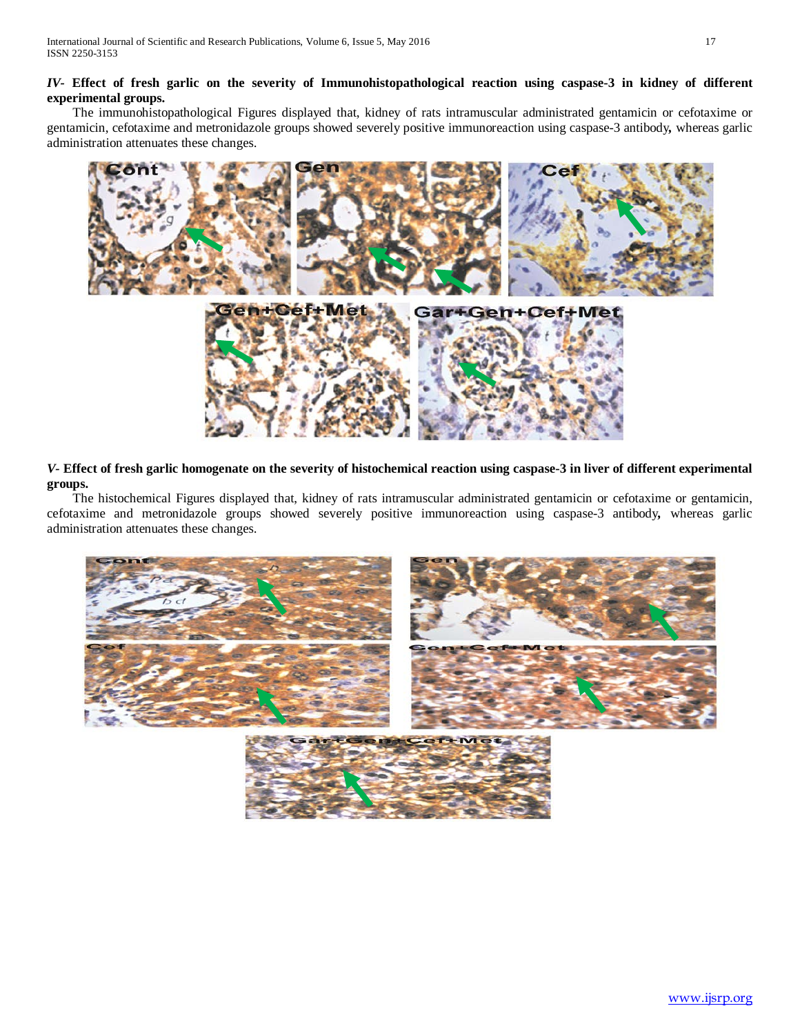# *IV-* **Effect of fresh garlic on the severity of Immunohistopathological reaction using caspase-3 in kidney of different experimental groups.**

The immunohistopathological Figures displayed that, kidney of rats intramuscular administrated gentamicin or cefotaxime or gentamicin, cefotaxime and metronidazole groups showed severely positive immunoreaction using caspase-3 antibody*,* whereas garlic administration attenuates these changes.



*V-* **Effect of fresh garlic homogenate on the severity of histochemical reaction using caspase-3 in liver of different experimental groups.**

The histochemical Figures displayed that, kidney of rats intramuscular administrated gentamicin or cefotaxime or gentamicin, cefotaxime and metronidazole groups showed severely positive immunoreaction using caspase-3 antibody*,* whereas garlic administration attenuates these changes.

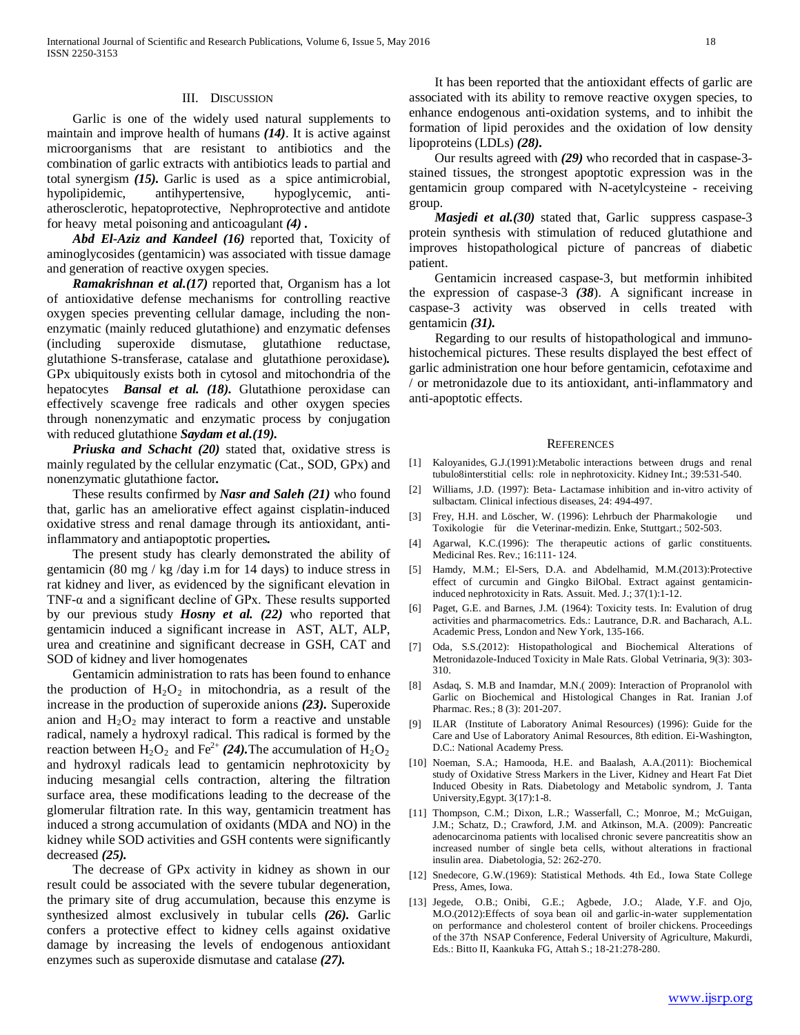#### III. DISCUSSION

Garlic is one of the widely used natural supplements to maintain and improve health of humans *(14)*. It is active against microorganisms that are resistant to antibiotics and the combination of garlic extracts with antibiotics leads to partial and total synergism *(15).* Garlic is used as a spice antimicrobial, hypolipidemic, antihypertensive, hypoglycemic, antiatherosclerotic, hepatoprotective, Nephroprotective and antidote for heavy metal poisoning and anticoagulant *(4) .*

 *Abd El-Aziz and Kandeel (16)* reported that, Toxicity of aminoglycosides (gentamicin) was associated with tissue damage and generation of reactive oxygen species.

*Ramakrishnan et al.*(17) reported that, Organism has a lot of antioxidative defense mechanisms for controlling reactive oxygen species preventing cellular damage, including the nonenzymatic (mainly reduced glutathione) and enzymatic defenses (including superoxide dismutase, glutathione reductase, glutathione S-transferase, catalase and glutathione peroxidase)*.* GPx ubiquitously exists both in cytosol and mitochondria of the hepatocytes *Bansal et al. (18).* Glutathione peroxidase can effectively scavenge free radicals and other oxygen species through nonenzymatic and enzymatic process by conjugation with reduced glutathione *Saydam et al.(19).*

 *Priuska and Schacht (20)* stated that, oxidative stress is mainly regulated by the cellular enzymatic (Cat., SOD, GPx) and nonenzymatic glutathione factor*.*

These results confirmed by *Nasr and Saleh (21)* who found that, garlic has an ameliorative effect against cisplatin-induced oxidative stress and renal damage through its antioxidant, antiinflammatory and antiapoptotic properties*.*

The present study has clearly demonstrated the ability of gentamicin (80 mg / kg /day i.m for 14 days) to induce stress in rat kidney and liver, as evidenced by the significant elevation in TNF- $\alpha$  and a significant decline of GPx. These results supported by our previous study *Hosny et al. (22)* who reported that gentamicin induced a significant increase in AST, ALT, ALP, urea and creatinine and significant decrease in GSH, CAT and SOD of kidney and liver homogenates

Gentamicin administration to rats has been found to enhance the production of  $H_2O_2$  in mitochondria, as a result of the increase in the production of superoxide anions *(23).* Superoxide anion and  $H_2O_2$  may interact to form a reactive and unstable radical, namely a hydroxyl radical. This radical is formed by the reaction between  $H_2O_2$  and Fe<sup>2+</sup> (24). The accumulation of  $H_2O_2$ and hydroxyl radicals lead to gentamicin nephrotoxicity by inducing mesangial cells contraction, altering the filtration surface area, these modifications leading to the decrease of the glomerular filtration rate. In this way, gentamicin treatment has induced a strong accumulation of oxidants (MDA and NO) in the kidney while SOD activities and GSH contents were significantly decreased *(25).*

The decrease of GPx activity in kidney as shown in our result could be associated with the severe tubular degeneration, the primary site of drug accumulation, because this enzyme is synthesized almost exclusively in tubular cells *(26).* Garlic confers a protective effect to kidney cells against oxidative damage by increasing the levels of endogenous antioxidant enzymes such as superoxide dismutase and catalase *(27).*

It has been reported that the antioxidant effects of garlic are associated with its ability to remove reactive oxygen species, to enhance endogenous anti-oxidation systems, and to inhibit the formation of lipid peroxides and the oxidation of low density lipoproteins (LDLs) *(28).*

Our results agreed with *(29)* who recorded that in caspase-3 stained tissues, the strongest apoptotic expression was in the gentamicin group compared with N-acetylcysteine - receiving group.

*Masjedi et al.*(30) stated that, Garlic suppress caspase-3 protein synthesis with stimulation of reduced glutathione and improves histopathological picture of pancreas of diabetic patient.

Gentamicin increased caspase-3, but metformin inhibited the expression of caspase-3 *(38*). A significant increase in caspase-3 activity was observed in cells treated with gentamicin *(31).*

Regarding to our results of histopathological and immunohistochemical pictures. These results displayed the best effect of garlic administration one hour before gentamicin, cefotaxime and / or metronidazole due to its antioxidant, anti-inflammatory and anti-apoptotic effects.

#### **REFERENCES**

- [1] Kaloyanides, G.J.(1991):Metabolic interactions between drugs and renal tubulo8interstitial cells: role in nephrotoxicity. Kidney Int.; 39:531-540.
- [2] Williams, J.D. (1997): Beta- Lactamase inhibition and in-vitro activity of sulbactam. Clinical infectious diseases, 24: 494-497.
- [3] Frey, H.H. and Löscher, W. (1996): Lehrbuch der Pharmakologie und Toxikologie für die Veterinar-medizin. Enke, Stuttgart.; 502-503.
- [4] Agarwal, K.C.(1996): The therapeutic actions of garlic constituents. Medicinal Res. Rev.; 16:111- 124.
- [5] Hamdy, M.M.; El-Sers, D.A. and Abdelhamid, M.M.(2013):Protective effect of curcumin and Gingko BilObal. Extract against gentamicininduced nephrotoxicity in Rats. Assuit. Med. J.; 37(1):1-12.
- [6] Paget, G.E. and Barnes, J.M. (1964): Toxicity tests. In: Evalution of drug activities and pharmacometrics. Eds.: Lautrance, D.R. and Bacharach, A.L. Academic Press, London and New York, 135-166.
- [7] Oda, S.S.(2012): Histopathological and Biochemical Alterations of Metronidazole-Induced Toxicity in Male Rats. Global Vetrinaria, 9(3): 303- 310.
- [8] Asdaq, S. M.B and Inamdar, M.N.( 2009): Interaction of Propranolol with Garlic on Biochemical and Histological Changes in Rat. Iranian J.of Pharmac. Res.; 8 (3): 201-207.
- [9] ILAR (Institute of Laboratory Animal Resources) (1996): Guide for the Care and Use of Laboratory Animal Resources, 8th edition. Ei-Washington, D.C.: National Academy Press.
- [10] Noeman, S.A.; Hamooda, H.E. and Baalash, A.A.(2011): Biochemical study of Oxidative Stress Markers in the Liver, Kidney and Heart Fat Diet Induced Obesity in Rats. Diabetology and Metabolic syndrom, J. Tanta University,Egypt. 3(17):1-8.
- [11] Thompson, C.M.; Dixon, L.R.; Wasserfall, C.; Monroe, M.; McGuigan, J.M.; Schatz, D.; Crawford, J.M. and Atkinson, M.A. (2009): Pancreatic adenocarcinoma patients with localised chronic severe pancreatitis show an increased number of single beta cells, without alterations in fractional insulin area. Diabetologia, 52: 262-270.
- [12] Snedecore, G.W.(1969): Statistical Methods. 4th Ed., Iowa State College Press, Ames, Iowa.
- [13] Jegede, O.B.; Onibi, G.E.; Agbede, J.O.; Alade, Y.F. and Ojo, M.O.(2012):Effects of soya bean oil and garlic-in-water supplementation on performance and cholesterol content of broiler chickens. Proceedings of the 37th NSAP Conference, Federal University of Agriculture, Makurdi, Eds.: Bitto II, Kaankuka FG, Attah S.; 18-21:278-280.